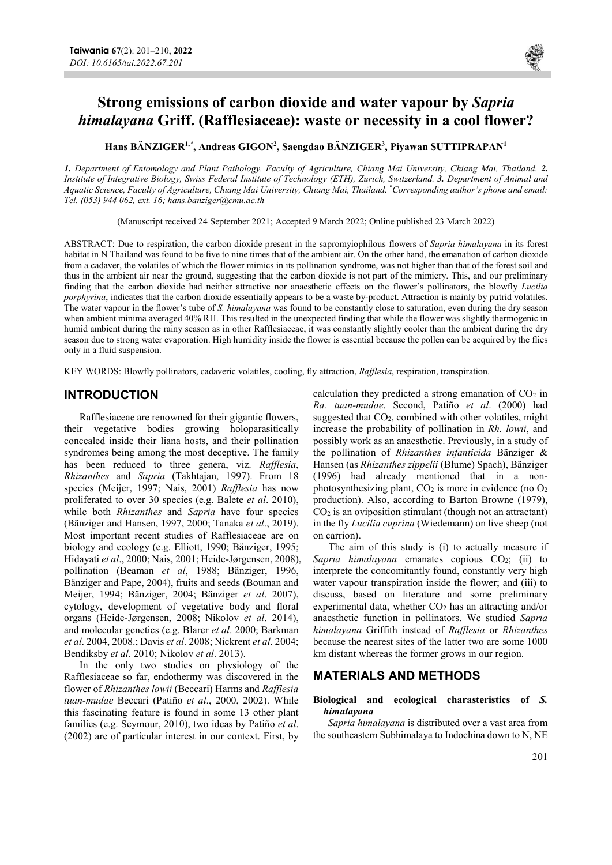

Hans BÄNZIGER<sup>1,\*</sup>, Andreas GIGON<sup>2</sup>, Saengdao BÄNZIGER<sup>3</sup>, Piyawan SUTTIPRAPAN<sup>1</sup>

1. Department of Entomology and Plant Pathology, Faculty of Agriculture, Chiang Mai University, Chiang Mai, Thailand. 2. Institute of Integrative Biology, Swiss Federal Institute of Technology (ETH), Zurich, Switzerland. 3. Department of Animal and Aquatic Science, Faculty of Agriculture, Chiang Mai University, Chiang Mai, Thailand. \*Corresponding author's phone and email: Tel. (053) 944 062, ext. 16; hans.banziger@cmu.ac.th

(Manuscript received 24 September 2021; Accepted 9 March 2022; Online published 23 March 2022)

ABSTRACT: Due to respiration, the carbon dioxide present in the sapromyiophilous flowers of Sapria himalayana in its forest habitat in N Thailand was found to be five to nine times that of the ambient air. On the other hand, the emanation of carbon dioxide from a cadaver, the volatiles of which the flower mimics in its pollination syndrome, was not higher than that of the forest soil and thus in the ambient air near the ground, suggesting that the carbon dioxide is not part of the mimicry. This, and our preliminary finding that the carbon dioxide had neither attractive nor anaesthetic effects on the flower's pollinators, the blowfly Lucilia porphyrina, indicates that the carbon dioxide essentially appears to be a waste by-product. Attraction is mainly by putrid volatiles. The water vapour in the flower's tube of S. himalayana was found to be constantly close to saturation, even during the dry season when ambient minima averaged 40% RH. This resulted in the unexpected finding that while the flower was slightly thermogenic in humid ambient during the rainy season as in other Rafflesiaceae, it was constantly slightly cooler than the ambient during the dry season due to strong water evaporation. High humidity inside the flower is essential because the pollen can be acquired by the flies only in a fluid suspension.

KEY WORDS: Blowfly pollinators, cadaveric volatiles, cooling, fly attraction, Rafflesia, respiration, transpiration.

### INTRODUCTION

Rafflesiaceae are renowned for their gigantic flowers, their vegetative bodies growing holoparasitically concealed inside their liana hosts, and their pollination syndromes being among the most deceptive. The family has been reduced to three genera, viz. Rafflesia, Rhizanthes and Sapria (Takhtajan, 1997). From 18 species (Meijer, 1997; Nais, 2001) Rafflesia has now proliferated to over 30 species (e.g. Balete et al. 2010), while both *Rhizanthes* and *Sapria* have four species (Bänziger and Hansen, 1997, 2000; Tanaka et al., 2019). Most important recent studies of Rafflesiaceae are on biology and ecology (e.g. Elliott, 1990; Bänziger, 1995; Hidayati et al., 2000; Nais, 2001; Heide-Jørgensen, 2008), pollination (Beaman et al, 1988; Bänziger, 1996, Bänziger and Pape, 2004), fruits and seeds (Bouman and Meijer, 1994; Bänziger, 2004; Bänziger et al. 2007), cytology, development of vegetative body and floral organs (Heide-Jørgensen, 2008; Nikolov et al. 2014), and molecular genetics (e.g. Blarer et al. 2000; Barkman et al. 2004, 2008.; Davis et al. 2008; Nickrent et al. 2004; Bendiksby et al. 2010; Nikolov et al. 2013).

In the only two studies on physiology of the Rafflesiaceae so far, endothermy was discovered in the flower of Rhizanthes lowii (Beccari) Harms and Rafflesia tuan-mudae Beccari (Patiño et al., 2000, 2002). While this fascinating feature is found in some 13 other plant families (e.g. Seymour, 2010), two ideas by Patiño et al. (2002) are of particular interest in our context. First, by calculation they predicted a strong emanation of  $CO<sub>2</sub>$  in Ra. tuan-mudae. Second, Patiño et al. (2000) had suggested that  $CO<sub>2</sub>$ , combined with other volatiles, might increase the probability of pollination in Rh. lowii, and possibly work as an anaesthetic. Previously, in a study of the pollination of Rhizanthes infanticida Bänziger & Hansen (as Rhizanthes zippelii (Blume) Spach), Bänziger (1996) had already mentioned that in a nonphotosynthesizing plant,  $CO<sub>2</sub>$  is more in evidence (no  $O<sub>2</sub>$ production). Also, according to Barton Browne (1979),  $CO<sub>2</sub>$  is an oviposition stimulant (though not an attractant) in the fly Lucilia cuprina (Wiedemann) on live sheep (not on carrion).

The aim of this study is (i) to actually measure if Sapria himalayana emanates copious  $CO<sub>2</sub>$ ; (ii) to interprete the concomitantly found, constantly very high water vapour transpiration inside the flower; and (iii) to discuss, based on literature and some preliminary experimental data, whether  $CO<sub>2</sub>$  has an attracting and/or anaesthetic function in pollinators. We studied Sapria himalayana Griffith instead of Rafflesia or Rhizanthes because the nearest sites of the latter two are some 1000 km distant whereas the former grows in our region.

# MATERIALS AND METHODS

#### Biological and ecological charasteristics of S. himalayana

Sapria himalayana is distributed over a vast area from the southeastern Subhimalaya to Indochina down to N, NE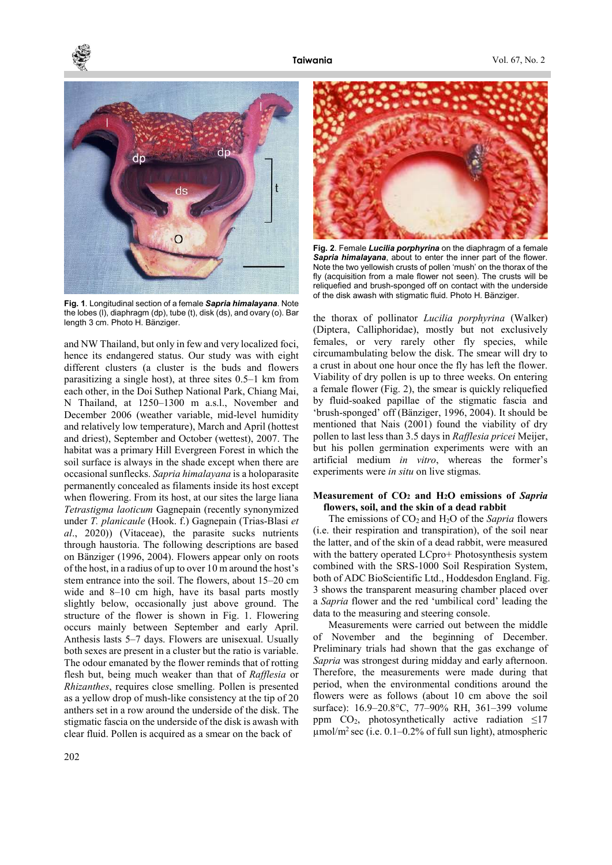

Fig. 1. Longitudinal section of a female Sapria himalayana. Note the lobes (l), diaphragm (dp), tube (t), disk (ds), and ovary (o). Bar length 3 cm. Photo H. Bänziger.

and NW Thailand, but only in few and very localized foci, hence its endangered status. Our study was with eight different clusters (a cluster is the buds and flowers parasitizing a single host), at three sites 0.5–1 km from each other, in the Doi Suthep National Park, Chiang Mai, N Thailand, at 1250–1300 m a.s.l., November and December 2006 (weather variable, mid-level humidity and relatively low temperature), March and April (hottest and driest), September and October (wettest), 2007. The habitat was a primary Hill Evergreen Forest in which the soil surface is always in the shade except when there are occasional sunflecks. Sapria himalayana is a holoparasite permanently concealed as filaments inside its host except when flowering. From its host, at our sites the large liana Tetrastigma laoticum Gagnepain (recently synonymized under T. planicaule (Hook. f.) Gagnepain (Trias-Blasi et al., 2020)) (Vitaceae), the parasite sucks nutrients through haustoria. The following descriptions are based on Bänziger (1996, 2004). Flowers appear only on roots of the host, in a radius of up to over 10 m around the host's stem entrance into the soil. The flowers, about 15–20 cm wide and 8–10 cm high, have its basal parts mostly slightly below, occasionally just above ground. The structure of the flower is shown in Fig. 1. Flowering occurs mainly between September and early April. Anthesis lasts 5–7 days. Flowers are unisexual. Usually both sexes are present in a cluster but the ratio is variable. The odour emanated by the flower reminds that of rotting flesh but, being much weaker than that of Rafflesia or Rhizanthes, requires close smelling. Pollen is presented as a yellow drop of mush-like consistency at the tip of 20 anthers set in a row around the underside of the disk. The stigmatic fascia on the underside of the disk is awash with clear fluid. Pollen is acquired as a smear on the back of



Fig. 2. Female *Lucilia porphyrina* on the diaphragm of a female Sapria himalayana, about to enter the inner part of the flower. Note the two yellowish crusts of pollen 'mush' on the thorax of the fly (acquisition from a male flower not seen). The crusts will be reliquefied and brush-sponged off on contact with the underside of the disk awash with stigmatic fluid. Photo H. Bänziger.

the thorax of pollinator Lucilia porphyrina (Walker) (Diptera, Calliphoridae), mostly but not exclusively females, or very rarely other fly species, while circumambulating below the disk. The smear will dry to a crust in about one hour once the fly has left the flower. Viability of dry pollen is up to three weeks. On entering a female flower (Fig. 2), the smear is quickly reliquefied by fluid-soaked papillae of the stigmatic fascia and 'brush-sponged' off (Bänziger, 1996, 2004). It should be mentioned that Nais (2001) found the viability of dry pollen to last less than 3.5 days in Rafflesia pricei Meijer, but his pollen germination experiments were with an artificial medium in vitro, whereas the former's experiments were *in situ* on live stigmas.

#### Measurement of  $CO<sub>2</sub>$  and  $H<sub>2</sub>O$  emissions of Sapria flowers, soil, and the skin of a dead rabbit

The emissions of  $CO<sub>2</sub>$  and  $H<sub>2</sub>O$  of the *Sapria* flowers (i.e. their respiration and transpiration), of the soil near the latter, and of the skin of a dead rabbit, were measured with the battery operated LCpro+ Photosynthesis system combined with the SRS-1000 Soil Respiration System, both of ADC BioScientific Ltd., Hoddesdon England. Fig. 3 shows the transparent measuring chamber placed over a Sapria flower and the red 'umbilical cord' leading the data to the measuring and steering console.

Measurements were carried out between the middle of November and the beginning of December. Preliminary trials had shown that the gas exchange of Sapria was strongest during midday and early afternoon. Therefore, the measurements were made during that period, when the environmental conditions around the flowers were as follows (about 10 cm above the soil surface): 16.9–20.8°C, 77–90% RH, 361–399 volume ppm  $CO<sub>2</sub>$ , photosynthetically active radiation  $\leq$ 17  $\mu$ mol/m<sup>2</sup> sec (i.e. 0.1–0.2% of full sun light), atmospheric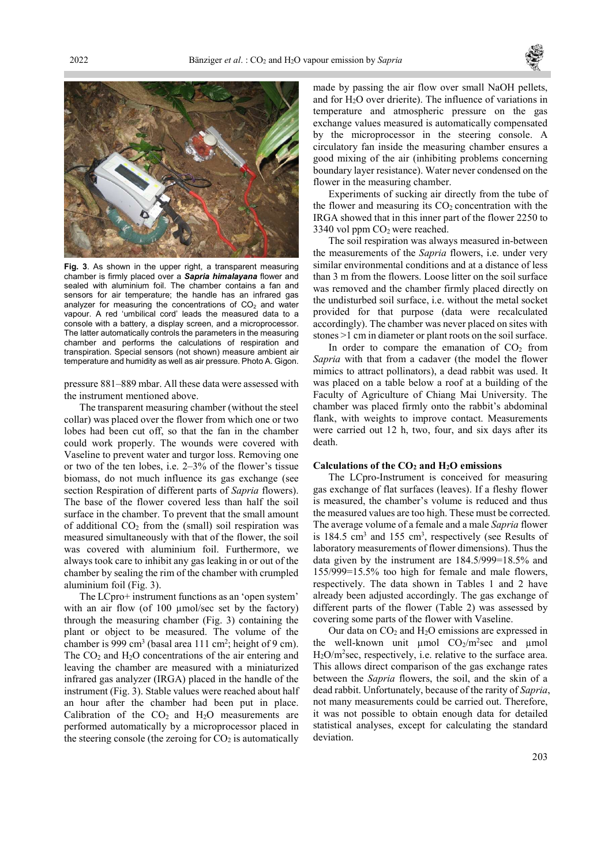



Fig. 3. As shown in the upper right, a transparent measuring chamber is firmly placed over a Sapria himalayana flower and sealed with aluminium foil. The chamber contains a fan and sensors for air temperature; the handle has an infrared gas analyzer for measuring the concentrations of  $CO<sub>2</sub>$  and water vapour. A red 'umbilical cord' leads the measured data to a console with a battery, a display screen, and a microprocessor. The latter automatically controls the parameters in the measuring chamber and performs the calculations of respiration and transpiration. Special sensors (not shown) measure ambient air temperature and humidity as well as air pressure. Photo A. Gigon.

pressure 881–889 mbar. All these data were assessed with the instrument mentioned above.

The transparent measuring chamber (without the steel collar) was placed over the flower from which one or two lobes had been cut off, so that the fan in the chamber could work properly. The wounds were covered with Vaseline to prevent water and turgor loss. Removing one or two of the ten lobes, i.e. 2–3% of the flower's tissue biomass, do not much influence its gas exchange (see section Respiration of different parts of *Sapria* flowers). The base of the flower covered less than half the soil surface in the chamber. To prevent that the small amount of additional  $CO<sub>2</sub>$  from the (small) soil respiration was measured simultaneously with that of the flower, the soil was covered with aluminium foil. Furthermore, we always took care to inhibit any gas leaking in or out of the chamber by sealing the rim of the chamber with crumpled aluminium foil (Fig. 3).

The LCpro+ instrument functions as an 'open system' with an air flow (of 100 µmol/sec set by the factory) through the measuring chamber (Fig. 3) containing the plant or object to be measured. The volume of the chamber is 999 cm<sup>3</sup> (basal area 111 cm<sup>2</sup>; height of 9 cm). The  $CO<sub>2</sub>$  and  $H<sub>2</sub>O$  concentrations of the air entering and leaving the chamber are measured with a miniaturized infrared gas analyzer (IRGA) placed in the handle of the instrument (Fig. 3). Stable values were reached about half an hour after the chamber had been put in place. Calibration of the  $CO<sub>2</sub>$  and  $H<sub>2</sub>O$  measurements are performed automatically by a microprocessor placed in the steering console (the zeroing for  $CO<sub>2</sub>$  is automatically

made by passing the air flow over small NaOH pellets, and for H2O over drierite). The influence of variations in temperature and atmospheric pressure on the gas exchange values measured is automatically compensated by the microprocessor in the steering console. A circulatory fan inside the measuring chamber ensures a good mixing of the air (inhibiting problems concerning boundary layer resistance). Water never condensed on the flower in the measuring chamber.

Experiments of sucking air directly from the tube of the flower and measuring its  $CO<sub>2</sub>$  concentration with the IRGA showed that in this inner part of the flower 2250 to 3340 vol ppm  $CO<sub>2</sub>$  were reached.

The soil respiration was always measured in-between the measurements of the Sapria flowers, i.e. under very similar environmental conditions and at a distance of less than 3 m from the flowers. Loose litter on the soil surface was removed and the chamber firmly placed directly on the undisturbed soil surface, i.e. without the metal socket provided for that purpose (data were recalculated accordingly). The chamber was never placed on sites with stones >1 cm in diameter or plant roots on the soil surface.

In order to compare the emanation of  $CO<sub>2</sub>$  from Sapria with that from a cadaver (the model the flower mimics to attract pollinators), a dead rabbit was used. It was placed on a table below a roof at a building of the Faculty of Agriculture of Chiang Mai University. The chamber was placed firmly onto the rabbit's abdominal flank, with weights to improve contact. Measurements were carried out 12 h, two, four, and six days after its death.

#### Calculations of the  $CO<sub>2</sub>$  and  $H<sub>2</sub>O$  emissions

The LCpro-Instrument is conceived for measuring gas exchange of flat surfaces (leaves). If a fleshy flower is measured, the chamber's volume is reduced and thus the measured values are too high. These must be corrected. The average volume of a female and a male Sapria flower is 184.5 cm<sup>3</sup> and 155 cm<sup>3</sup>, respectively (see Results of laboratory measurements of flower dimensions). Thus the data given by the instrument are 184.5/999=18.5% and 155/999=15.5% too high for female and male flowers, respectively. The data shown in Tables 1 and 2 have already been adjusted accordingly. The gas exchange of different parts of the flower (Table 2) was assessed by covering some parts of the flower with Vaseline.

Our data on  $CO<sub>2</sub>$  and  $H<sub>2</sub>O$  emissions are expressed in the well-known unit  $\mu$ mol CO<sub>2</sub>/m<sup>2</sup>sec and  $\mu$ mol  $H<sub>2</sub>O/m<sup>2</sup>$ sec, respectively, i.e. relative to the surface area. This allows direct comparison of the gas exchange rates between the Sapria flowers, the soil, and the skin of a dead rabbit. Unfortunately, because of the rarity of Sapria, not many measurements could be carried out. Therefore, it was not possible to obtain enough data for detailed statistical analyses, except for calculating the standard deviation.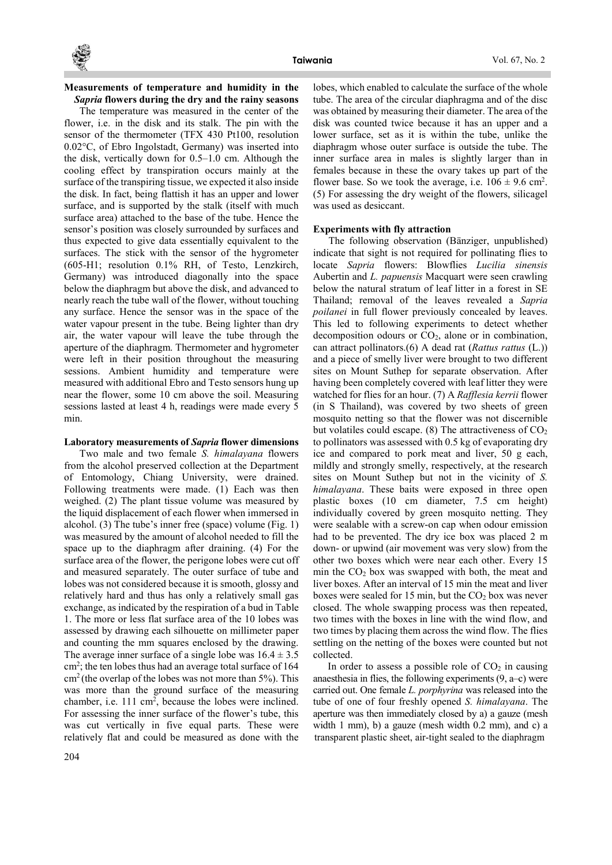

#### Measurements of temperature and humidity in the Sapria flowers during the dry and the rainy seasons

The temperature was measured in the center of the flower, i.e. in the disk and its stalk. The pin with the sensor of the thermometer (TFX 430 Pt100, resolution 0.02°C, of Ebro Ingolstadt, Germany) was inserted into the disk, vertically down for 0.5–1.0 cm. Although the cooling effect by transpiration occurs mainly at the surface of the transpiring tissue, we expected it also inside the disk. In fact, being flattish it has an upper and lower surface, and is supported by the stalk (itself with much surface area) attached to the base of the tube. Hence the sensor's position was closely surrounded by surfaces and thus expected to give data essentially equivalent to the surfaces. The stick with the sensor of the hygrometer (605-H1; resolution 0.1% RH, of Testo, Lenzkirch, Germany) was introduced diagonally into the space below the diaphragm but above the disk, and advanced to nearly reach the tube wall of the flower, without touching any surface. Hence the sensor was in the space of the water vapour present in the tube. Being lighter than dry air, the water vapour will leave the tube through the aperture of the diaphragm. Thermometer and hygrometer were left in their position throughout the measuring sessions. Ambient humidity and temperature were measured with additional Ebro and Testo sensors hung up near the flower, some 10 cm above the soil. Measuring sessions lasted at least 4 h, readings were made every 5 min.

#### Laboratory measurements of Sapria flower dimensions

Two male and two female S. himalayana flowers from the alcohol preserved collection at the Department of Entomology, Chiang University, were drained. Following treatments were made. (1) Each was then weighed. (2) The plant tissue volume was measured by the liquid displacement of each flower when immersed in alcohol. (3) The tube's inner free (space) volume (Fig. 1) was measured by the amount of alcohol needed to fill the space up to the diaphragm after draining. (4) For the surface area of the flower, the perigone lobes were cut off and measured separately. The outer surface of tube and lobes was not considered because it is smooth, glossy and relatively hard and thus has only a relatively small gas exchange, as indicated by the respiration of a bud in Table 1. The more or less flat surface area of the 10 lobes was assessed by drawing each silhouette on millimeter paper and counting the mm squares enclosed by the drawing. The average inner surface of a single lobe was  $16.4 \pm 3.5$ cm<sup>2</sup> ; the ten lobes thus had an average total surface of 164 cm<sup>2</sup>(the overlap of the lobes was not more than 5%). This was more than the ground surface of the measuring chamber, i.e. 111 cm<sup>2</sup>, because the lobes were inclined. For assessing the inner surface of the flower's tube, this was cut vertically in five equal parts. These were relatively flat and could be measured as done with the

lobes, which enabled to calculate the surface of the whole tube. The area of the circular diaphragma and of the disc was obtained by measuring their diameter. The area of the disk was counted twice because it has an upper and a lower surface, set as it is within the tube, unlike the diaphragm whose outer surface is outside the tube. The inner surface area in males is slightly larger than in females because in these the ovary takes up part of the flower base. So we took the average, i.e.  $106 \pm 9.6$  cm<sup>2</sup>. (5) For assessing the dry weight of the flowers, silicagel was used as desiccant.

#### Experiments with fly attraction

The following observation (Bänziger, unpublished) indicate that sight is not required for pollinating flies to locate Sapria flowers: Blowflies Lucilia sinensis Aubertin and *L. papuensis* Macquart were seen crawling below the natural stratum of leaf litter in a forest in SE Thailand; removal of the leaves revealed a Sapria poilanei in full flower previously concealed by leaves. This led to following experiments to detect whether decomposition odours or  $CO<sub>2</sub>$ , alone or in combination, can attract pollinators.(6) A dead rat (Rattus rattus (L.)) and a piece of smelly liver were brought to two different sites on Mount Suthep for separate observation. After having been completely covered with leaf litter they were watched for flies for an hour. (7) A Rafflesia kerrii flower (in S Thailand), was covered by two sheets of green mosquito netting so that the flower was not discernible but volatiles could escape. (8) The attractiveness of  $CO<sub>2</sub>$ to pollinators was assessed with 0.5 kg of evaporating dry ice and compared to pork meat and liver, 50 g each, mildly and strongly smelly, respectively, at the research sites on Mount Suthep but not in the vicinity of S. himalayana. These baits were exposed in three open plastic boxes (10 cm diameter, 7.5 cm height) individually covered by green mosquito netting. They were sealable with a screw-on cap when odour emission had to be prevented. The dry ice box was placed 2 m down- or upwind (air movement was very slow) from the other two boxes which were near each other. Every 15 min the  $CO<sub>2</sub>$  box was swapped with both, the meat and liver boxes. After an interval of 15 min the meat and liver boxes were sealed for 15 min, but the  $CO<sub>2</sub>$  box was never closed. The whole swapping process was then repeated, two times with the boxes in line with the wind flow, and two times by placing them across the wind flow. The flies settling on the netting of the boxes were counted but not collected.

In order to assess a possible role of  $CO<sub>2</sub>$  in causing anaesthesia in flies, the following experiments (9, a–c) were carried out. One female L. porphyrina was released into the tube of one of four freshly opened S. himalayana. The aperture was then immediately closed by a) a gauze (mesh width 1 mm), b) a gauze (mesh width 0.2 mm), and c) a transparent plastic sheet, air-tight sealed to the diaphragm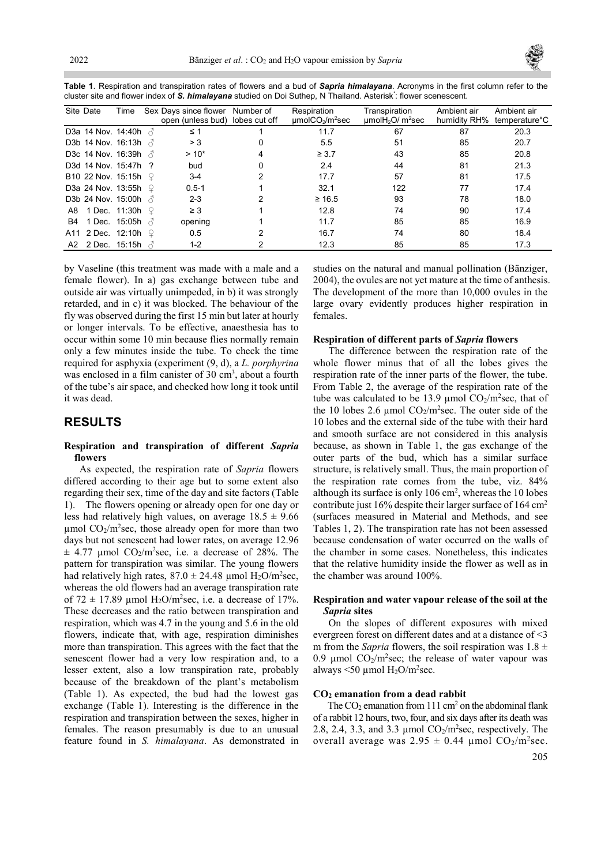

Table 1. Respiration and transpiration rates of flowers and a bud of Sapria himalayana. Acronyms in the first column refer to the cluster site and flower index of S. himalayana studied on Doi Suthep, N Thailand. Asterisk<sup>\*</sup>: flower scenescent.

| Site Date | Time                        |               | Sex Davs since flower<br>open (unless bud) lobes cut off | Number of | Respiration<br>µmolCO <sub>2</sub> /m <sup>2</sup> sec | Transpiration<br>$\mu$ mol $H_2$ O/ m <sup>2</sup> sec | Ambient air<br>humidity RH% | Ambient air<br>temperature <sup>°</sup> C |
|-----------|-----------------------------|---------------|----------------------------------------------------------|-----------|--------------------------------------------------------|--------------------------------------------------------|-----------------------------|-------------------------------------------|
|           | D3a 14 Nov. 14:40h $\beta$  |               | ≤ 1                                                      |           | 11.7                                                   | 67                                                     | 87                          | 20.3                                      |
|           | D3b 14 Nov. 16:13h $\beta$  |               | > 3                                                      | 0         | 5.5                                                    | 51                                                     | 85                          | 20.7                                      |
|           | D3c 14 Nov. 16:39h $\beta$  |               | $>10*$                                                   |           | $\geq 3.7$                                             | 43                                                     | 85                          | 20.8                                      |
|           | D3d 14 Nov. 15:47h ?        |               | bud                                                      |           | 2.4                                                    | 44                                                     | 81                          | 21.3                                      |
|           | <b>B10 22 Nov. 15:15h</b> ♀ |               | $3-4$                                                    |           | 17.7                                                   | 57                                                     | 81                          | 17.5                                      |
|           | D3a 24 Nov. 13:55h          |               | $0.5 - 1$                                                |           | 32.1                                                   | 122                                                    | 77                          | 17.4                                      |
|           | D3b 24 Nov. 15:00h $\land$  |               | $2 - 3$                                                  |           | $\geq 16.5$                                            | 93                                                     | 78                          | 18.0                                      |
|           | A8 1 Dec. 11:30h            |               | $\geq$ 3                                                 |           | 12.8                                                   | 74                                                     | 90                          | 17.4                                      |
| B4        | 1 Dec. 15:05h               | $\mathcal{A}$ | opening                                                  |           | 11.7                                                   | 85                                                     | 85                          | 16.9                                      |
|           | A11 2 Dec. 12:10h           |               | 0.5                                                      |           | 16.7                                                   | 74                                                     | 80                          | 18.4                                      |
|           | A2 2 Dec. 15:15h $\sqrt{2}$ |               | $1 - 2$                                                  |           | 12.3                                                   | 85                                                     | 85                          | 17.3                                      |

by Vaseline (this treatment was made with a male and a female flower). In a) gas exchange between tube and outside air was virtually unimpeded, in b) it was strongly retarded, and in c) it was blocked. The behaviour of the fly was observed during the first 15 min but later at hourly or longer intervals. To be effective, anaesthesia has to occur within some 10 min because flies normally remain only a few minutes inside the tube. To check the time required for asphyxia (experiment (9, d), a L. porphyrina was enclosed in a film canister of 30 cm<sup>3</sup>, about a fourth of the tube's air space, and checked how long it took until it was dead.

# RESULTS

### Respiration and transpiration of different Sapria flowers

As expected, the respiration rate of Sapria flowers differed according to their age but to some extent also regarding their sex, time of the day and site factors (Table 1). The flowers opening or already open for one day or less had relatively high values, on average  $18.5 \pm 9.66$  $\mu$ mol CO<sub>2</sub>/m<sup>2</sup>sec, those already open for more than two days but not senescent had lower rates, on average 12.96  $\pm$  4.77 µmol CO<sub>2</sub>/m<sup>2</sup>sec, i.e. a decrease of 28%. The pattern for transpiration was similar. The young flowers had relatively high rates,  $87.0 \pm 24.48$  µmol H<sub>2</sub>O/m<sup>2</sup>sec, whereas the old flowers had an average transpiration rate of  $72 \pm 17.89$  µmol H<sub>2</sub>O/m<sup>2</sup>sec, i.e. a decrease of 17%. These decreases and the ratio between transpiration and respiration, which was 4.7 in the young and 5.6 in the old flowers, indicate that, with age, respiration diminishes more than transpiration. This agrees with the fact that the senescent flower had a very low respiration and, to a lesser extent, also a low transpiration rate, probably because of the breakdown of the plant's metabolism (Table 1). As expected, the bud had the lowest gas exchange (Table 1). Interesting is the difference in the respiration and transpiration between the sexes, higher in females. The reason presumably is due to an unusual feature found in S. himalayana. As demonstrated in

studies on the natural and manual pollination (Bänziger, 2004), the ovules are not yet mature at the time of anthesis. The development of the more than 10,000 ovules in the large ovary evidently produces higher respiration in females.

#### Respiration of different parts of Sapria flowers

The difference between the respiration rate of the whole flower minus that of all the lobes gives the respiration rate of the inner parts of the flower, the tube. From Table 2, the average of the respiration rate of the tube was calculated to be 13.9 µmol  $CO_2/m^2$ sec, that of the 10 lobes 2.6 µmol  $CO_2/m^2$ sec. The outer side of the 10 lobes and the external side of the tube with their hard and smooth surface are not considered in this analysis because, as shown in Table 1, the gas exchange of the outer parts of the bud, which has a similar surface structure, is relatively small. Thus, the main proportion of the respiration rate comes from the tube, viz. 84% although its surface is only 106 cm<sup>2</sup> , whereas the 10 lobes contribute just 16% despite their larger surface of 164  $\text{cm}^2$ (surfaces measured in Material and Methods, and see Tables 1, 2). The transpiration rate has not been assessed because condensation of water occurred on the walls of the chamber in some cases. Nonetheless, this indicates that the relative humidity inside the flower as well as in the chamber was around 100%.

#### Respiration and water vapour release of the soil at the Sapria sites

On the slopes of different exposures with mixed evergreen forest on different dates and at a distance of <3 m from the Sapria flowers, the soil respiration was  $1.8 \pm$ 0.9 µmol  $CO_2/m^2$ sec; the release of water vapour was always  $\leq 50 \text{ \mu}$ mol H<sub>2</sub>O/m<sup>2</sup>sec.

#### CO2 emanation from a dead rabbit

The  $CO<sub>2</sub>$  emanation from 111 cm<sup>2</sup> on the abdominal flank of a rabbit 12 hours, two, four, and six days after its death was 2.8, 2.4, 3.3, and 3.3 umol  $CO<sub>2</sub>/m<sup>2</sup>sec$ , respectively. The overall average was  $2.95 \pm 0.44$  µmol  $CO_2/m^2$ sec.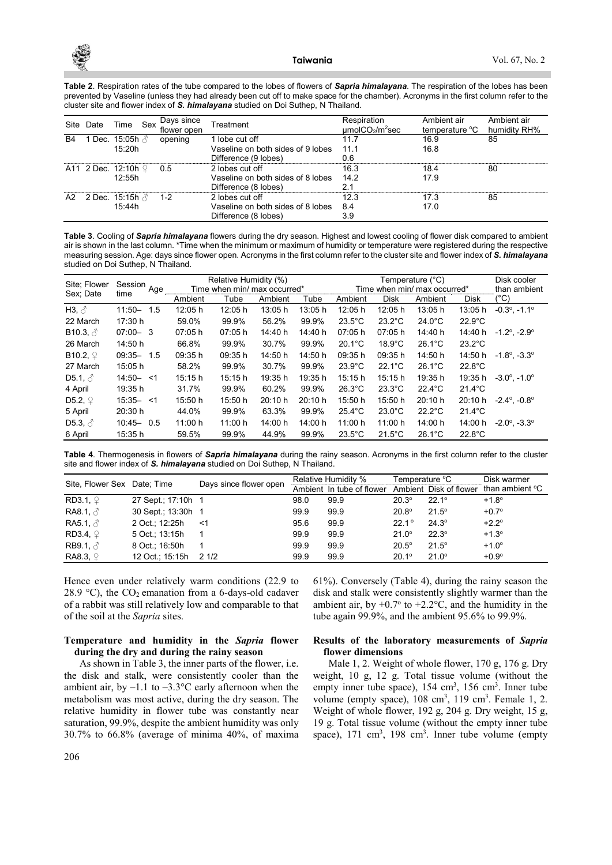Table 2. Respiration rates of the tube compared to the lobes of flowers of Sapria himalayana. The respiration of the lobes has been prevented by Vaseline (unless they had already been cut off to make space for the chamber). Acronyms in the first column refer to the cluster site and flower index of S. himalayana studied on Doi Suthep, N Thailand.

| Site | Date                            | Time                            | Sex | Days since<br>flower open | Treatment                                                                    | Respiration<br>umolCO <sub>2</sub> /m <sup>2</sup> sec | Ambient air<br>temperature °C | Ambient air<br>humidity RH% |
|------|---------------------------------|---------------------------------|-----|---------------------------|------------------------------------------------------------------------------|--------------------------------------------------------|-------------------------------|-----------------------------|
| B4   |                                 | 15:20h                          |     | opening                   | 1 lobe cut off<br>Vaseline on both sides of 9 lobes<br>Difference (9 lobes)  | 11.7<br>111<br>0.6                                     | 16.9<br>16.8                  | 85                          |
|      | A11 2 Dec. 12:10h $\mathcal{Q}$ | 12:55h                          |     | 0.5                       | 2 lobes cut off<br>Vaseline on both sides of 8 lobes<br>Difference (8 lobes) | 16.3<br>142<br>2.1                                     | 18.4<br>17.9                  | 80                          |
| A2   |                                 | 2 Dec. 15:15h $\beta$<br>15:44h |     | $1 - 2$                   | 2 lobes cut off<br>Vaseline on both sides of 8 lobes<br>Difference (8 lobes) | 12.3<br>8.4<br>3.9                                     | 17.3<br>17.0                  | 85                          |

Table 3. Cooling of Sapria himalayana flowers during the dry season. Highest and lowest cooling of flower disk compared to ambient air is shown in the last column. \*Time when the minimum or maximum of humidity or temperature were registered during the respective measuring session. Age: days since flower open. Acronyms in the first column refer to the cluster site and flower index of S. himalayana studied on Doi Suthep, N Thailand.

| Site; Flower           | Session       | Age | Relative Humidity (%)        |         |         |         | Temperature (°C)             |                  |                  |                  | Disk cooler                     |
|------------------------|---------------|-----|------------------------------|---------|---------|---------|------------------------------|------------------|------------------|------------------|---------------------------------|
| Sex: Date              | time          |     | Time when min/ max occurred* |         |         |         | Time when min/ max occurred* |                  |                  |                  | than ambient                    |
|                        |               |     | Ambient                      | Tube    | Ambient | Tube    | Ambient                      | <b>Disk</b>      | Ambient          | Disk             | (°C)                            |
| H3, $\delta$           | $11:50-$      | 1.5 | 12:05 h                      | 12:05 h | 13:05 h | 13:05 h | 12:05 h                      | 12:05 h          | 13:05 h          | 13:05 h          | $-0.3^{\circ}$ . $-1.1^{\circ}$ |
| 22 March               | 17:30 h       |     | 59.0%                        | 99.9%   | 56.2%   | 99.9%   | $23.5^{\circ}$ C             | $23.2^{\circ}$ C | $24.0^{\circ}$ C | $22.9^{\circ}$ C |                                 |
| <b>B10.3. </b> $\beta$ | $07:00 - 3$   |     | 07:05 h                      | 07:05 h | 14:40 h | 14:40 h | 07:05 h                      | 07:05 h          | 14:40 h          | 14:40 h          | $-1.2^{\circ}$ . $-2.9^{\circ}$ |
| 26 March               | 14:50 h       |     | 66.8%                        | 99.9%   | 30.7%   | 99.9%   | $20.1^{\circ}$ C             | $18.9^{\circ}$ C | $26.1^{\circ}$ C | $23.2^{\circ}$ C |                                 |
| B10.2, $\mathcal{Q}$   | $09:35 -$     | 1.5 | 09:35h                       | 09:35 h | 14:50 h | 14:50 h | 09:35 h                      | 09:35h           | 14:50 h          | 14:50 h          | $-1.8^{\circ}$ . $-3.3^{\circ}$ |
| 27 March               | 15:05 h       |     | 58.2%                        | 99.9%   | 30.7%   | 99.9%   | $23.9^{\circ}$ C             | $22.1^{\circ}$ C | $26.1^{\circ}$ C | $22.8^{\circ}$ C |                                 |
| D5.1, $\delta$         | $14:50 - 51$  |     | 15:15 h                      | 15:15 h | 19:35 h | 19:35 h | 15:15 h                      | 15:15 h          | 19:35 h          | 19:35 h          | $-3.0^{\circ}$ . $-1.0^{\circ}$ |
| 4 April                | 19:35 h       |     | 31.7%                        | 99.9%   | 60.2%   | 99.9%   | $26.3^{\circ}$ C             | $23.3^{\circ}$ C | $22.4^{\circ}$ C | $21.4^{\circ}$ C |                                 |
| D5.2, $\mathcal{Q}$    | $15:35 - 51$  |     | 15:50 h                      | 15:50 h | 20:10 h | 20:10 h | 15:50 h                      | 15:50 h          | 20:10 h          | 20:10 h          | $-2.4^{\circ}$ , $-0.8^{\circ}$ |
| 5 April                | 20:30 h       |     | 44.0%                        | 99.9%   | 63.3%   | 99.9%   | $25.4^{\circ}$ C             | $23.0^{\circ}$ C | $22.2^{\circ}$ C | $21.4^{\circ}$ C |                                 |
| D5.3, $\delta$         | $10:45 - 0.5$ |     | 11:00 h                      | 11:00 h | 14:00 h | 14:00 h | 11:00 h                      | 11:00 h          | 14:00 h          | 14:00 h          | $-2.0^{\circ}$ , $-3.3^{\circ}$ |
| 6 April                | 15:35 h       |     | 59.5%                        | 99.9%   | 44.9%   | 99.9%   | $23.5^{\circ}$ C             | $21.5^{\circ}$ C | $26.1^{\circ}$ C | $22.8^{\circ}$ C |                                 |

Table 4. Thermogenesis in flowers of Sapria himalayana during the rainy season. Acronyms in the first column refer to the cluster site and flower index of S. himalayana studied on Doi Suthep, N Thailand.

| Site, Flower Sex Date; Time |                    | Days since flower open |      | Relative Humidity %       | Temperature °C |                        | Disk warmer     |
|-----------------------------|--------------------|------------------------|------|---------------------------|----------------|------------------------|-----------------|
|                             |                    |                        |      | Ambient In tube of flower |                | Ambient Disk of flower | than ambient °C |
| $RD3.1, \Omega$             | 27 Sept: 17:10h 1  |                        | 98.0 | 99.9                      | $20.3^{\circ}$ | $22.1^{\circ}$         | $+1.8^{\circ}$  |
| RA8.1, $\beta$              | 30 Sept.; 13:30h 1 |                        | 99.9 | 99.9                      | $20.8^\circ$   | $21.5^{\circ}$         | $+0.7^{\circ}$  |
| RA5.1, $\beta$              | 2 Oct.; 12:25h     | —≺1                    | 95.6 | 99.9                      | $22.1^{\circ}$ | $24.3^{\circ}$         | $+2.2^{\circ}$  |
| $RD3.4, \varphi$            | 5 Oct.; 13:15h     |                        | 99.9 | 99.9                      | $21.0^{\circ}$ | $22.3^{\circ}$         | $+1.3^{\circ}$  |
| RB9.1, $\beta$              | 8 Oct.; 16:50h     |                        | 99.9 | 99.9                      | $20.5^\circ$   | $21.5^{\circ}$         | $+1.0^{\circ}$  |
| RA8.3, $\mathcal{Q}$        | 12 Oct.; 15:15h    | 21/2                   | 99.9 | 99.9                      | $20.1^{\circ}$ | $21.0^{\circ}$         | $+0.9^\circ$    |

Hence even under relatively warm conditions (22.9 to 28.9 °C), the  $CO_2$  emanation from a 6-days-old cadaver of a rabbit was still relatively low and comparable to that of the soil at the Sapria sites.

### Temperature and humidity in the Sapria flower during the dry and during the rainy season

As shown in Table 3, the inner parts of the flower, i.e. the disk and stalk, were consistently cooler than the ambient air, by  $-1.1$  to  $-3.3$ °C early afternoon when the metabolism was most active, during the dry season. The relative humidity in flower tube was constantly near saturation, 99.9%, despite the ambient humidity was only 30.7% to 66.8% (average of minima 40%, of maxima disk and stalk were consistently slightly warmer than the ambient air, by  $+0.7^{\circ}$  to  $+2.2^{\circ}$ C, and the humidity in the tube again 99.9%, and the ambient 95.6% to 99.9%.

### Results of the laboratory measurements of Sapria flower dimensions

61%). Conversely (Table 4), during the rainy season the

Male 1, 2. Weight of whole flower, 170 g, 176 g. Dry weight, 10 g, 12 g. Total tissue volume (without the empty inner tube space), 154 cm<sup>3</sup>, 156 cm<sup>3</sup>. Inner tube volume (empty space),  $108 \text{ cm}^3$ ,  $119 \text{ cm}^3$ . Female 1, 2. Weight of whole flower, 192 g, 204 g. Dry weight, 15 g, 19 g. Total tissue volume (without the empty inner tube space),  $171 \text{ cm}^3$ ,  $198 \text{ cm}^3$ . Inner tube volume (empty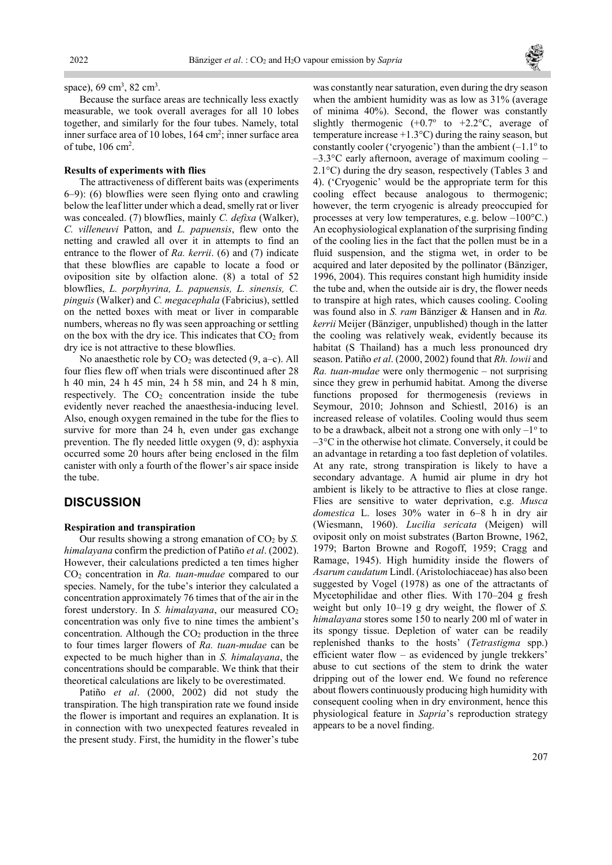

space),  $69 \text{ cm}^3$ ,  $82 \text{ cm}^3$ .

Because the surface areas are technically less exactly measurable, we took overall averages for all 10 lobes together, and similarly for the four tubes. Namely, total inner surface area of 10 lobes, 164 cm<sup>2</sup>; inner surface area of tube,  $106 \text{ cm}^2$ .

#### Results of experiments with flies

The attractiveness of different baits was (experiments 6–9): (6) blowflies were seen flying onto and crawling below the leaf litter under which a dead, smelly rat or liver was concealed. (7) blowflies, mainly C. defixa (Walker), C. villeneuvi Patton, and L. papuensis, flew onto the netting and crawled all over it in attempts to find an entrance to the flower of  $Ra$ . kerrii. (6) and (7) indicate that these blowflies are capable to locate a food or oviposition site by olfaction alone. (8) a total of 52 blowflies, L. porphyrina, L. papuensis, L. sinensis, C. pinguis (Walker) and C. megacephala (Fabricius), settled on the netted boxes with meat or liver in comparable numbers, whereas no fly was seen approaching or settling on the box with the dry ice. This indicates that  $CO<sub>2</sub>$  from dry ice is not attractive to these blowflies.

No anaesthetic role by  $CO<sub>2</sub>$  was detected (9, a–c). All four flies flew off when trials were discontinued after 28 h 40 min, 24 h 45 min, 24 h 58 min, and 24 h 8 min, respectively. The  $CO<sub>2</sub>$  concentration inside the tube evidently never reached the anaesthesia-inducing level. Also, enough oxygen remained in the tube for the flies to survive for more than 24 h, even under gas exchange prevention. The fly needed little oxygen (9, d): asphyxia occurred some 20 hours after being enclosed in the film canister with only a fourth of the flower's air space inside the tube.

## **DISCUSSION**

#### Respiration and transpiration

Our results showing a strong emanation of  $CO<sub>2</sub>$  by S. himalayana confirm the prediction of Patiño et al. (2002). However, their calculations predicted a ten times higher  $CO<sub>2</sub>$  concentration in Ra. tuan-mudae compared to our species. Namely, for the tube's interior they calculated a concentration approximately 76 times that of the air in the forest understory. In S. himalayana, our measured  $CO<sub>2</sub>$ concentration was only five to nine times the ambient's concentration. Although the  $CO<sub>2</sub>$  production in the three to four times larger flowers of Ra. tuan-mudae can be expected to be much higher than in S. himalayana, the concentrations should be comparable. We think that their theoretical calculations are likely to be overestimated.

Patiño et al. (2000, 2002) did not study the transpiration. The high transpiration rate we found inside the flower is important and requires an explanation. It is in connection with two unexpected features revealed in the present study. First, the humidity in the flower's tube was constantly near saturation, even during the dry season when the ambient humidity was as low as 31% (average of minima 40%). Second, the flower was constantly slightly thermogenic  $(+0.7^{\circ}$  to  $+2.2^{\circ}$ C, average of temperature increase  $+1.3$ °C) during the rainy season, but constantly cooler ('cryogenic') than the ambient  $(-1.1^{\circ}$  to  $-3.3$ °C early afternoon, average of maximum cooling – 2.1°C) during the dry season, respectively (Tables 3 and 4). ('Cryogenic' would be the appropriate term for this cooling effect because analogous to thermogenic; however, the term cryogenic is already preoccupied for processes at very low temperatures, e.g. below –100°C.) An ecophysiological explanation of the surprising finding of the cooling lies in the fact that the pollen must be in a fluid suspension, and the stigma wet, in order to be acquired and later deposited by the pollinator (Bänziger, 1996, 2004). This requires constant high humidity inside the tube and, when the outside air is dry, the flower needs to transpire at high rates, which causes cooling. Cooling was found also in S. ram Bänziger & Hansen and in Ra. kerrii Meijer (Bänziger, unpublished) though in the latter the cooling was relatively weak, evidently because its habitat (S Thailand) has a much less pronounced dry season. Patiño et al. (2000, 2002) found that Rh. lowii and Ra. tuan-mudae were only thermogenic – not surprising since they grew in perhumid habitat. Among the diverse functions proposed for thermogenesis (reviews in Seymour, 2010; Johnson and Schiestl, 2016) is an increased release of volatiles. Cooling would thus seem to be a drawback, albeit not a strong one with only  $-1^{\circ}$  to –3°C in the otherwise hot climate. Conversely, it could be an advantage in retarding a too fast depletion of volatiles. At any rate, strong transpiration is likely to have a secondary advantage. A humid air plume in dry hot ambient is likely to be attractive to flies at close range. Flies are sensitive to water deprivation, e.g. Musca domestica L. loses 30% water in 6–8 h in dry air (Wiesmann, 1960). Lucilia sericata (Meigen) will oviposit only on moist substrates (Barton Browne, 1962, 1979; Barton Browne and Rogoff, 1959; Cragg and Ramage, 1945). High humidity inside the flowers of Asarum caudatum Lindl. (Aristolochiaceae) has also been suggested by Vogel (1978) as one of the attractants of Mycetophilidae and other flies. With 170–204 g fresh weight but only 10–19 g dry weight, the flower of S. himalayana stores some 150 to nearly 200 ml of water in its spongy tissue. Depletion of water can be readily replenished thanks to the hosts' (Tetrastigma spp.) efficient water flow – as evidenced by jungle trekkers' abuse to cut sections of the stem to drink the water dripping out of the lower end. We found no reference about flowers continuously producing high humidity with consequent cooling when in dry environment, hence this physiological feature in Sapria's reproduction strategy appears to be a novel finding.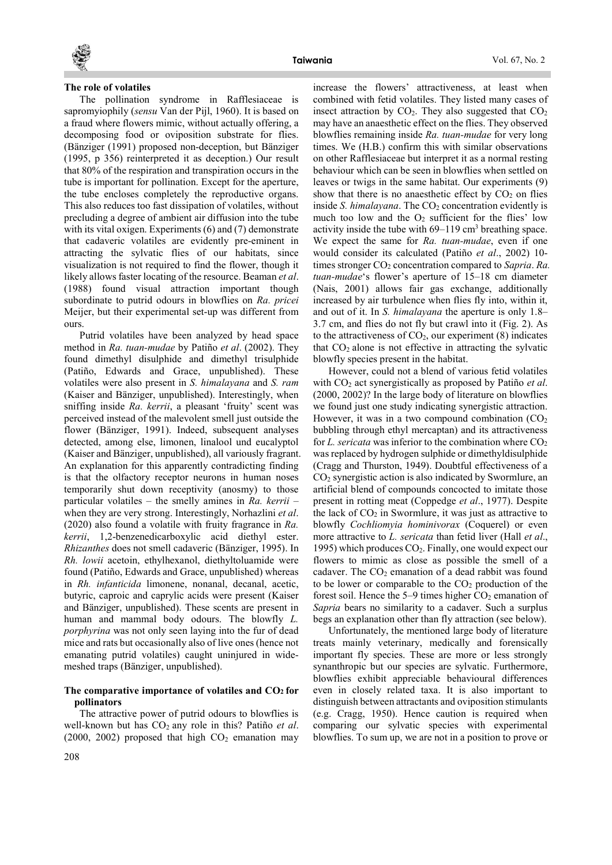

### The role of volatiles

The pollination syndrome in Rafflesiaceae is sapromyiophily (sensu Van der Pijl, 1960). It is based on a fraud where flowers mimic, without actually offering, a decomposing food or oviposition substrate for flies. (Bänziger (1991) proposed non-deception, but Bänziger (1995, p 356) reinterpreted it as deception.) Our result that 80% of the respiration and transpiration occurs in the tube is important for pollination. Except for the aperture, the tube encloses completely the reproductive organs. This also reduces too fast dissipation of volatiles, without precluding a degree of ambient air diffusion into the tube with its vital oxigen. Experiments (6) and (7) demonstrate that cadaveric volatiles are evidently pre-eminent in attracting the sylvatic flies of our habitats, since visualization is not required to find the flower, though it likely allows faster locating of the resource. Beaman et al. (1988) found visual attraction important though subordinate to putrid odours in blowflies on Ra. pricei Meijer, but their experimental set-up was different from ours.

Putrid volatiles have been analyzed by head space method in Ra. tuan-mudae by Patiño et al. (2002). They found dimethyl disulphide and dimethyl trisulphide (Patiño, Edwards and Grace, unpublished). These volatiles were also present in S. himalayana and S. ram (Kaiser and Bänziger, unpublished). Interestingly, when sniffing inside Ra. kerrii, a pleasant 'fruity' scent was perceived instead of the malevolent smell just outside the flower (Bänziger, 1991). Indeed, subsequent analyses detected, among else, limonen, linalool und eucalyptol (Kaiser and Bänziger, unpublished), all variously fragrant. An explanation for this apparently contradicting finding is that the olfactory receptor neurons in human noses temporarily shut down receptivity (anosmy) to those particular volatiles – the smelly amines in Ra. kerrii – when they are very strong. Interestingly, Norhazlini *et al.* (2020) also found a volatile with fruity fragrance in Ra. kerrii, 1,2-benzenedicarboxylic acid diethyl ester. Rhizanthes does not smell cadaveric (Bänziger, 1995). In Rh. lowii acetoin, ethylhexanol, diethyltoluamide were found (Patiño, Edwards and Grace, unpublished) whereas in Rh. infanticida limonene, nonanal, decanal, acetic, butyric, caproic and caprylic acids were present (Kaiser and Bänziger, unpublished). These scents are present in human and mammal body odours. The blowfly L. porphyrina was not only seen laying into the fur of dead mice and rats but occasionally also of live ones (hence not emanating putrid volatiles) caught uninjured in widemeshed traps (Bänziger, unpublished).

#### The comparative importance of volatiles and  $CO<sub>2</sub>$  for pollinators

The attractive power of putrid odours to blowflies is well-known but has  $CO<sub>2</sub>$  any role in this? Patiño *et al.* (2000, 2002) proposed that high  $CO<sub>2</sub>$  emanation may increase the flowers' attractiveness, at least when combined with fetid volatiles. They listed many cases of insect attraction by  $CO<sub>2</sub>$ . They also suggested that  $CO<sub>2</sub>$ may have an anaesthetic effect on the flies. They observed blowflies remaining inside Ra. tuan-mudae for very long times. We (H.B.) confirm this with similar observations on other Rafflesiaceae but interpret it as a normal resting behaviour which can be seen in blowflies when settled on leaves or twigs in the same habitat. Our experiments (9) show that there is no anaesthetic effect by  $CO<sub>2</sub>$  on flies inside S. himalayana. The  $CO<sub>2</sub>$  concentration evidently is much too low and the  $O<sub>2</sub>$  sufficient for the flies' low activity inside the tube with  $69-119$  cm<sup>3</sup> breathing space. We expect the same for Ra. tuan-mudae, even if one would consider its calculated (Patiño et al., 2002) 10 times stronger  $CO<sub>2</sub>$  concentration compared to Sapria. Ra. tuan-mudae's flower's aperture of 15–18 cm diameter (Nais, 2001) allows fair gas exchange, additionally increased by air turbulence when flies fly into, within it, and out of it. In S. himalayana the aperture is only 1.8– 3.7 cm, and flies do not fly but crawl into it (Fig. 2). As to the attractiveness of  $CO<sub>2</sub>$ , our experiment (8) indicates that  $CO<sub>2</sub>$  alone is not effective in attracting the sylvatic blowfly species present in the habitat.

However, could not a blend of various fetid volatiles with  $CO<sub>2</sub>$  act synergistically as proposed by Patiño *et al.* (2000, 2002)? In the large body of literature on blowflies we found just one study indicating synergistic attraction. However, it was in a two compound combination  $(CO<sub>2</sub>)$ bubbling through ethyl mercaptan) and its attractiveness for L. sericata was inferior to the combination where  $CO<sub>2</sub>$ was replaced by hydrogen sulphide or dimethyldisulphide (Cragg and Thurston, 1949). Doubtful effectiveness of a CO2 synergistic action is also indicated by Swormlure, an artificial blend of compounds concocted to imitate those present in rotting meat (Coppedge et al., 1977). Despite the lack of  $CO<sub>2</sub>$  in Swormlure, it was just as attractive to blowfly Cochliomyia hominivorax (Coquerel) or even more attractive to L. sericata than fetid liver (Hall et al., 1995) which produces  $CO<sub>2</sub>$ . Finally, one would expect our flowers to mimic as close as possible the smell of a cadaver. The  $CO<sub>2</sub>$  emanation of a dead rabbit was found to be lower or comparable to the  $CO<sub>2</sub>$  production of the forest soil. Hence the  $5-9$  times higher  $CO<sub>2</sub>$  emanation of Sapria bears no similarity to a cadaver. Such a surplus begs an explanation other than fly attraction (see below).

Unfortunately, the mentioned large body of literature treats mainly veterinary, medically and forensically important fly species. These are more or less strongly synanthropic but our species are sylvatic. Furthermore, blowflies exhibit appreciable behavioural differences even in closely related taxa. It is also important to distinguish between attractants and oviposition stimulants (e.g. Cragg, 1950). Hence caution is required when comparing our sylvatic species with experimental blowflies. To sum up, we are not in a position to prove or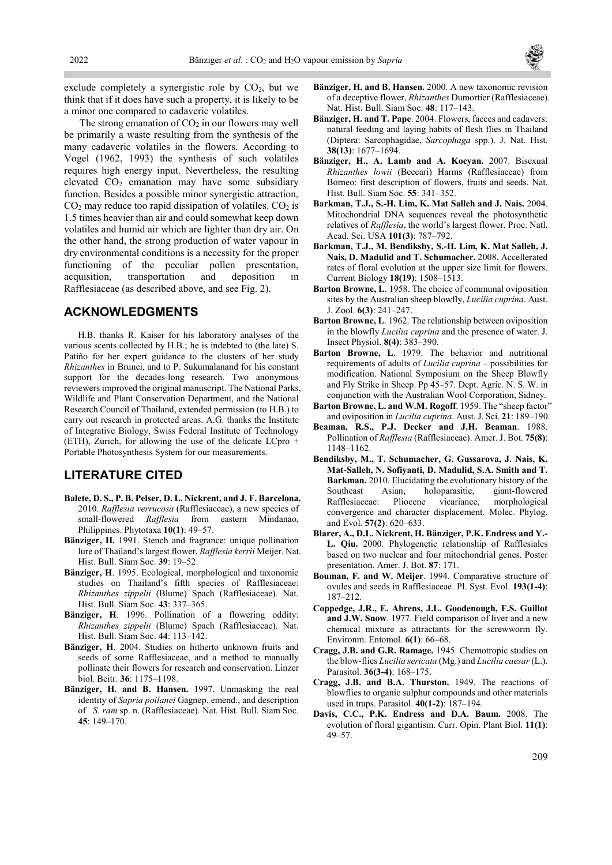

exclude completely a synergistic role by  $CO<sub>2</sub>$ , but we think that if it does have such a property, it is likely to be a minor one compared to cadaveric volatiles.

The strong emanation of  $CO<sub>2</sub>$  in our flowers may well be primarily a waste resulting from the synthesis of the many cadaveric volatiles in the flowers. According to Vogel (1962, 1993) the synthesis of such volatiles requires high energy input. Nevertheless, the resulting elevated CO2 emanation may have some subsidiary function. Besides a possible minor synergistic attraction,  $CO<sub>2</sub>$  may reduce too rapid dissipation of volatiles.  $CO<sub>2</sub>$  is 1.5 times heavier than air and could somewhat keep down volatiles and humid air which are lighter than dry air. On the other hand, the strong production of water vapour in dry environmental conditions is a necessity for the proper functioning of the peculiar pollen presentation, acquisition, transportation and deposition in Rafflesiaceae (as described above, and see Fig. 2).

## ACKNOWLEDGMENTS

H.B. thanks R. Kaiser for his laboratory analyses of the various scents collected by H.B.; he is indebted to (the late) S. Patiño for her expert guidance to the clusters of her study Rhizanthes in Brunei, and to P. Sukumalanand for his constant support for the decades-long research. Two anonymous reviewers improved the original manuscript. The National Parks, Wildlife and Plant Conservation Department, and the National Research Council of Thailand, extended permission (to H.B.) to carry out research in protected areas. A.G. thanks the Institute of Integrative Biology, Swiss Federal Institute of Technology (ETH), Zurich, for allowing the use of the delicate LCpro + Portable Photosynthesis System for our measurements.

# LITERATURE CITED

- Balete, D. S., P. B. Pelser, D. L. Nickrent, and J. F. Barcelona. 2010. Rafflesia verrucosa (Rafflesiaceae), a new species of small-flowered Rafflesia from eastern Mindanao, Philippines. Phytotaxa 10(1): 49–57.
- Bänziger, H. 1991. Stench and fragrance: unique pollination lure of Thailand's largest flower, Rafflesia kerrii Meijer. Nat. Hist. Bull. Siam Soc. 39: 19–52.
- Bänziger, H. 1995. Ecological, morphological and taxonomic studies on Thailand's fifth species of Rafflesiaceae: Rhizanthes zippelii (Blume) Spach (Rafflesiaceae). Nat. Hist. Bull. Siam Soc. 43: 337–365.
- Bänziger, H. 1996. Pollination of a flowering oddity: Rhizanthes zippelii (Blume) Spach (Rafflesiaceae). Nat. Hist. Bull. Siam Soc. 44: 113–142.
- Bänziger, H. 2004. Studies on hitherto unknown fruits and seeds of some Rafflesiaceae, and a method to manually pollinate their flowers for research and conservation. Linzer biol. Beitr. 36: 1175–1198.
- Bänziger, H. and B. Hansen. 1997. Unmasking the real identity of Sapria poilanei Gagnep. emend., and description of S. ram sp. n. (Rafflesiaceae). Nat. Hist. Bull. Siam Soc. 45: 149–170.
- Bänziger, H. and B. Hansen. 2000. A new taxonomic revision of a deceptive flower, Rhizanthes Dumortier (Rafflesiaceae). Nat. Hist. Bull. Siam Soc. 48: 117–143.
- Bänziger, H. and T. Pape. 2004. Flowers, faeces and cadavers: natural feeding and laying habits of flesh flies in Thailand (Diptera: Sarcophagidae, Sarcophaga spp.). J. Nat. Hist. 38(13): 1677–1694.
- Bänziger, H., A. Lamb and A. Kocyan. 2007. Bisexual Rhizanthes lowii (Beccari) Harms (Rafflesiaceae) from Borneo: first description of flowers, fruits and seeds. Nat. Hist. Bull. Siam Soc. 55: 341–352.
- Barkman, T.J., S.-H. Lim, K. Mat Salleh and J. Nais. 2004. Mitochondrial DNA sequences reveal the photosynthetic relatives of Rafflesia, the world's largest flower. Proc. Natl. Acad. Sci. USA 101(3): 787–792.
- Barkman, T.J., M. Bendiksby, S.-H. Lim, K. Mat Salleh, J. Nais, D. Madulid and T. Schumacher. 2008. Accellerated rates of floral evolution at the upper size limit for flowers. Current Biology 18(19): 1508–1513.
- Barton Browne, L. 1958. The choice of communal oviposition sites by the Australian sheep blowfly, Lucilia cuprina. Aust. J. Zool. 6(3): 241–247.
- Barton Browne, L. 1962. The relationship between oviposition in the blowfly Lucilia cuprina and the presence of water. J. Insect Physiol. 8(4): 383–390.
- Barton Browne, L. 1979. The behavior and nutritional requirements of adults of Lucilia cuprina – possibilities for modification. National Symposium on the Sheep Blowfly and Fly Strike in Sheep. Pp 45–57. Dept. Agric. N. S. W. in conjunction with the Australian Wool Corporation, Sidney.
- Barton Browne, L. and W.M. Rogoff. 1959. The "sheep factor" and oviposition in Lucilia cuprina. Aust. J. Sci. 21: 189–190.
- Beaman, R.S., P.J. Decker and J.H. Beaman. 1988. Pollination of Rafflesia (Rafflesiaceae). Amer. J. Bot. 75(8): 1148–1162.
- Bendiksby, M., T. Schumacher, G. Gussarova, J. Nais, K. Mat-Salleh, N. Sofiyanti, D. Madulid, S.A. Smith and T. Barkman. 2010. Elucidating the evolutionary history of the Southeast Asian, holoparasitic, giant-flowered Rafflesiaceae: Pliocene vicariance, morphological convergence and character displacement. Molec. Phylog. and Evol. 57(2): 620–633.
- Blarer, A., D.L. Nickrent, H. Bänziger, P.K. Endress and Y.- L. Qiu. 2000. Phylogenetic relationship of Rafflesiales based on two nuclear and four mitochondrial genes. Poster presentation. Amer. J. Bot. 87: 171.
- Bouman, F. and W. Meijer. 1994. Comparative structure of ovules and seeds in Rafflesiaceae. Pl. Syst. Evol. 193(1-4): 187–212.
- Coppedge, J.R., E. Ahrens, J.L. Goodenough, F.S. Guillot and J.W. Snow. 1977. Field comparison of liver and a new chemical mixture as attractants for the screwworm fly. Environm. Entomol. 6(1): 66–68.
- Cragg, J.B. and G.R. Ramage. 1945. Chemotropic studies on the blow-flies Lucilia sericata (Mg.) and Lucilia caesar (L.). Parasitol. 36(3-4): 168–175.
- Cragg, J.B. and B.A. Thurston. 1949. The reactions of blowflies to organic sulphur compounds and other materials used in traps. Parasitol. 40(1-2): 187–194.
- Davis, C.C., P.K. Endress and D.A. Baum. 2008. The evolution of floral gigantism. Curr. Opin. Plant Biol. 11(1): 49–57.